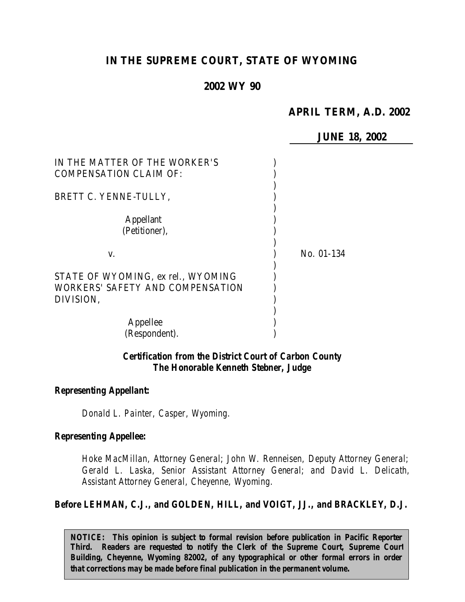# **IN THE SUPREME COURT, STATE OF WYOMING**

# **2002 WY 90**

# **APRIL TERM, A.D. 2002**

**JUNE 18, 2002**

| IN THE MATTER OF THE WORKER'S<br><b>COMPENSATION CLAIM OF:</b>         |            |
|------------------------------------------------------------------------|------------|
| BRETT C. YENNE-TULLY,                                                  |            |
| <b>Appellant</b><br>(Petitioner),                                      |            |
| V.                                                                     | No. 01-134 |
| STATE OF WYOMING, ex rel., WYOMING<br>WORKERS' SAFETY AND COMPENSATION |            |
| DIVISION,                                                              |            |
| Appellee                                                               |            |
| (Respondent).                                                          |            |

### *Certification from the District Court of Carbon County The Honorable Kenneth Stebner, Judge*

#### *Representing Appellant:*

*Donald L. Painter, Casper, Wyoming.*

#### *Representing Appellee:*

*Hoke MacMillan, Attorney General; John W. Renneisen, Deputy Attorney General; Gerald L. Laska, Senior Assistant Attorney General; and David L. Delicath, Assistant Attorney General, Cheyenne, Wyoming.*

*Before LEHMAN, C.J., and GOLDEN, HILL, and VOIGT, JJ., and BRACKLEY, D.J.*

*NOTICE: This opinion is subject to formal revision before publication in Pacific Reporter Third. Readers are requested to notify the Clerk of the Supreme Court, Supreme Court Building, Cheyenne, Wyoming 82002, of any typographical or other formal errors in order that corrections may be made before final publication in the permanent volume.*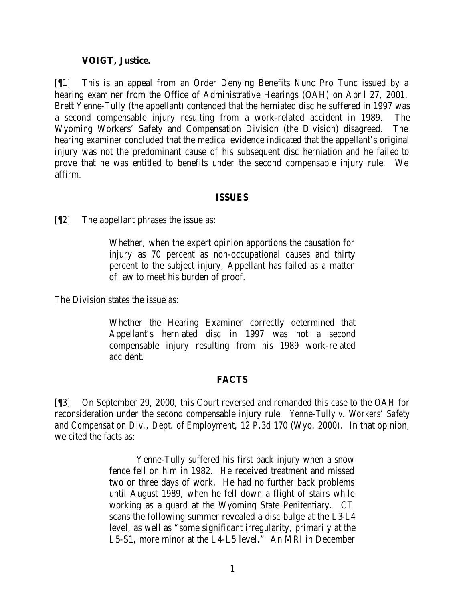### **VOIGT, Justice.**

[¶1] This is an appeal from an Order Denying Benefits Nunc Pro Tunc issued by a hearing examiner from the Office of Administrative Hearings (OAH) on April 27, 2001. Brett Yenne-Tully (the appellant) contended that the herniated disc he suffered in 1997 was a second compensable injury resulting from a work-related accident in 1989. The Wyoming Workers' Safety and Compensation Division (the Division) disagreed. The hearing examiner concluded that the medical evidence indicated that the appellant's original injury was not the predominant cause of his subsequent disc herniation and he failed to prove that he was entitled to benefits under the second compensable injury rule. We affirm.

# **ISSUES**

[¶2] The appellant phrases the issue as:

Whether, when the expert opinion apportions the causation for injury as 70 percent as non-occupational causes and thirty percent to the subject injury, Appellant has failed as a matter of law to meet his burden of proof.

The Division states the issue as:

Whether the Hearing Examiner correctly determined that Appellant's herniated disc in 1997 was not a second compensable injury resulting from his 1989 work-related accident.

# **FACTS**

[¶3] On September 29, 2000, this Court reversed and remanded this case to the OAH for reconsideration under the second compensable injury rule. *Yenne-Tully v. Workers' Safety and Compensation Div., Dept. of Employment*, 12 P.3d 170 (Wyo. 2000). In that opinion, we cited the facts as:

> Yenne-Tully suffered his first back injury when a snow fence fell on him in 1982. He received treatment and missed two or three days of work. He had no further back problems until August 1989, when he fell down a flight of stairs while working as a guard at the Wyoming State Penitentiary. CT scans the following summer revealed a disc bulge at the L3-L4 level, as well as "some significant irregularity, primarily at the L5-S1, more minor at the L4-L5 level." An MRI in December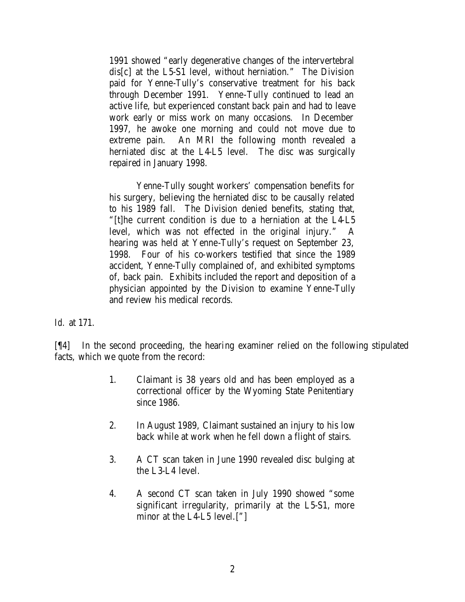1991 showed "early degenerative changes of the intervertebral dis[c] at the L5-S1 level, without herniation." The Division paid for Yenne-Tully's conservative treatment for his back through December 1991. Yenne-Tully continued to lead an active life, but experienced constant back pain and had to leave work early or miss work on many occasions. In December 1997, he awoke one morning and could not move due to extreme pain. An MRI the following month revealed a herniated disc at the L4-L5 level. The disc was surgically repaired in January 1998.

Yenne-Tully sought workers' compensation benefits for his surgery, believing the herniated disc to be causally related to his 1989 fall. The Division denied benefits, stating that, "[t]he current condition is due to a herniation at the L4-L5 level, which was not effected in the original injury." A hearing was held at Yenne-Tully's request on September 23, 1998. Four of his co-workers testified that since the 1989 accident, Yenne-Tully complained of, and exhibited symptoms of, back pain. Exhibits included the report and deposition of a physician appointed by the Division to examine Yenne-Tully and review his medical records.

*Id.* at 171.

[¶4] In the second proceeding, the hearing examiner relied on the following stipulated facts, which we quote from the record:

- 1. Claimant is 38 years old and has been employed as a correctional officer by the Wyoming State Penitentiary since 1986.
- 2. In August 1989, Claimant sustained an injury to his low back while at work when he fell down a flight of stairs.
- 3. A CT scan taken in June 1990 revealed disc bulging at the L3-L4 level.
- 4. A second CT scan taken in July 1990 showed "some significant irregularity, primarily at the L5-S1, more minor at the L4-L5 level.["]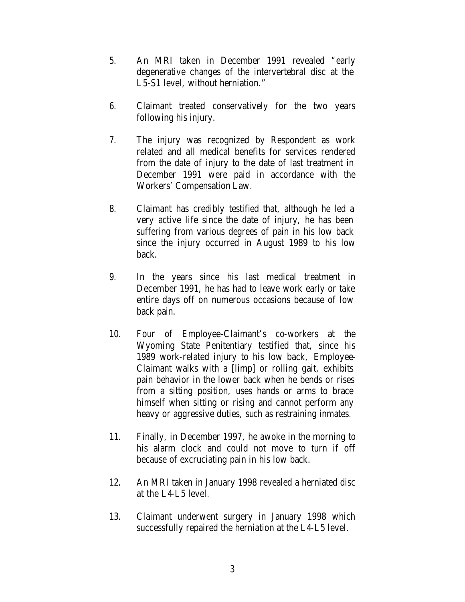- 5. An MRI taken in December 1991 revealed "early degenerative changes of the intervertebral disc at the L5-S1 level, without herniation."
- 6. Claimant treated conservatively for the two years following his injury.
- 7. The injury was recognized by Respondent as work related and all medical benefits for services rendered from the date of injury to the date of last treatment in December 1991 were paid in accordance with the Workers' Compensation Law.
- 8. Claimant has credibly testified that, although he led a very active life since the date of injury, he has been suffering from various degrees of pain in his low back since the injury occurred in August 1989 to his low back.
- 9. In the years since his last medical treatment in December 1991, he has had to leave work early or take entire days off on numerous occasions because of low back pain.
- 10. Four of Employee-Claimant's co-workers at the Wyoming State Penitentiary testified that, since his 1989 work-related injury to his low back, Employee-Claimant walks with a [limp] or rolling gait, exhibits pain behavior in the lower back when he bends or rises from a sitting position, uses hands or arms to brace himself when sitting or rising and cannot perform any heavy or aggressive duties, such as restraining inmates.
- 11. Finally, in December 1997, he awoke in the morning to his alarm clock and could not move to turn if off because of excruciating pain in his low back.
- 12. An MRI taken in January 1998 revealed a herniated disc at the L4-L5 level.
- 13. Claimant underwent surgery in January 1998 which successfully repaired the herniation at the L4-L5 level.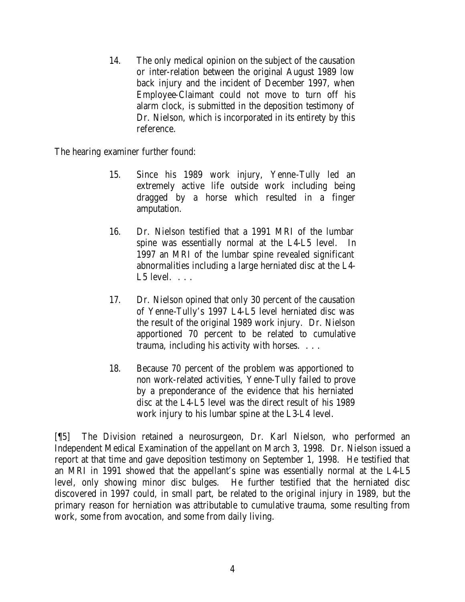14. The only medical opinion on the subject of the causation or inter-relation between the original August 1989 low back injury and the incident of December 1997, when Employee-Claimant could not move to turn off his alarm clock, is submitted in the deposition testimony of Dr. Nielson, which is incorporated in its entirety by this reference.

The hearing examiner further found:

- 15. Since his 1989 work injury, Yenne-Tully led an extremely active life outside work including being dragged by a horse which resulted in a finger amputation.
- 16. Dr. Nielson testified that a 1991 MRI of the lumbar spine was essentially normal at the L4-L5 level. In 1997 an MRI of the lumbar spine revealed significant abnormalities including a large herniated disc at the L4-  $L5$  level.  $\ldots$
- 17. Dr. Nielson opined that only 30 percent of the causation of Yenne-Tully's 1997 L4-L5 level herniated disc was the result of the original 1989 work injury. Dr. Nielson apportioned 70 percent to be related to cumulative trauma, including his activity with horses. . . .
- 18. Because 70 percent of the problem was apportioned to non work-related activities, Yenne-Tully failed to prove by a preponderance of the evidence that his herniated disc at the L4-L5 level was the direct result of his 1989 work injury to his lumbar spine at the L3-L4 level.

[¶5] The Division retained a neurosurgeon, Dr. Karl Nielson, who performed an Independent Medical Examination of the appellant on March 3, 1998. Dr. Nielson issued a report at that time and gave deposition testimony on September 1, 1998. He testified that an MRI in 1991 showed that the appellant's spine was essentially normal at the L4-L5 level, only showing minor disc bulges. He further testified that the herniated disc discovered in 1997 could, in small part, be related to the original injury in 1989, but the primary reason for herniation was attributable to cumulative trauma, some resulting from work, some from avocation, and some from daily living.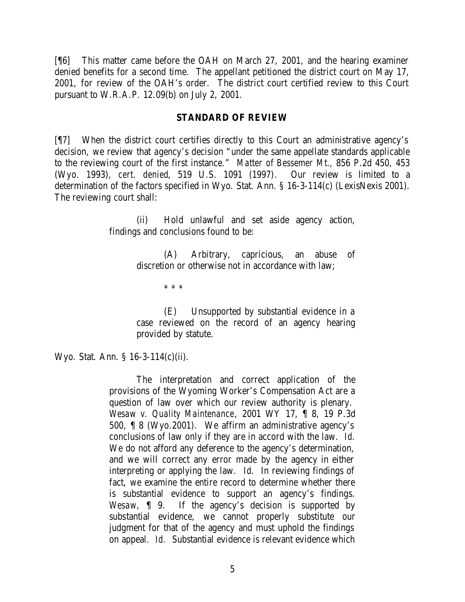[¶6] This matter came before the OAH on March 27, 2001, and the hearing examiner denied benefits for a second time. The appellant petitioned the district court on May 17, 2001, for review of the OAH's order. The district court certified review to this Court pursuant to W.R.A.P. 12.09(b) on July 2, 2001.

#### **STANDARD OF REVIEW**

[¶7] When the district court certifies directly to this Court an administrative agency's decision, we review that agency's decision "under the same appellate standards applicable to the reviewing court of the first instance." *Matter of Bessemer Mt.*, 856 P.2d 450, 453 (Wyo. 1993), *cert. denied*, 519 U.S. 1091 (1997). Our review is limited to a determination of the factors specified in Wyo. Stat. Ann. § 16-3-114(c) (LexisNexis 2001). The reviewing court shall:

> (ii) Hold unlawful and set aside agency action, findings and conclusions found to be:

> > (A) Arbitrary, capricious, an abuse of discretion or otherwise not in accordance with law;

> > > \* \* \*

(E) Unsupported by substantial evidence in a case reviewed on the record of an agency hearing provided by statute.

Wyo. Stat. Ann. § 16-3-114(c)(ii).

The interpretation and correct application of the provisions of the Wyoming Worker's Compensation Act are a question of law over which our review authority is plenary. *Wesaw v. Quality Maintenance*, 2001 WY 17, ¶ 8, 19 P.3d 500, ¶ 8 (Wyo.2001). We affirm an administrative agency's conclusions of law only if they are in accord with the law. *Id.* We do not afford any deference to the agency's determination, and we will correct any error made by the agency in either interpreting or applying the law. *Id.* In reviewing findings of fact, we examine the entire record to determine whether there is substantial evidence to support an agency's findings. *Wesaw*, ¶ 9. If the agency's decision is supported by substantial evidence, we cannot properly substitute our judgment for that of the agency and must uphold the findings on appeal. *Id.* Substantial evidence is relevant evidence which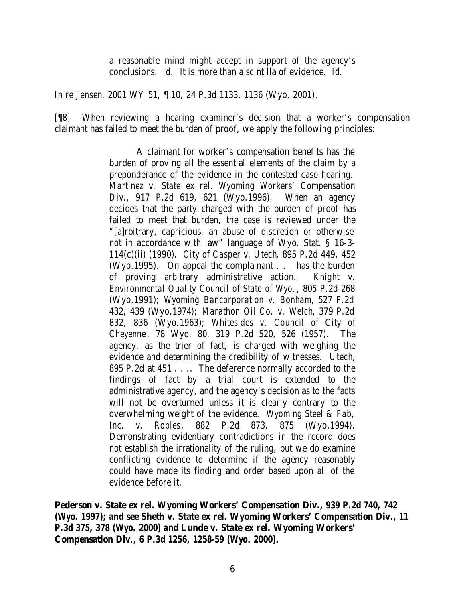a reasonable mind might accept in support of the agency's conclusions. *Id.* It is more than a scintilla of evidence. *Id.*

*In re Jensen*, 2001 WY 51, ¶ 10, 24 P.3d 1133, 1136 (Wyo. 2001).

[¶8] When reviewing a hearing examiner's decision that a worker's compensation claimant has failed to meet the burden of proof, we apply the following principles:

> A claimant for worker's compensation benefits has the burden of proving all the essential elements of the claim by a preponderance of the evidence in the contested case hearing. *Martinez v. State ex rel. Wyoming Workers' Compensation Div.*, 917 P.2d 619, 621 (Wyo.1996). When an agency decides that the party charged with the burden of proof has failed to meet that burden, the case is reviewed under the "[a]rbitrary, capricious, an abuse of discretion or otherwise not in accordance with law" language of Wyo. Stat. § 16-3- 114(c)(ii) (1990). *City of Casper v. Utech*, 895 P.2d 449, 452 (Wyo.1995). On appeal the complainant . . . has the burden of proving arbitrary administrative action. *Knight v. Environmental Quality Council of State of Wyo.*, 805 P.2d 268 (Wyo.1991); *Wyoming Bancorporation v. Bonham*, 527 P.2d 432, 439 (Wyo.1974); *Marathon Oil Co. v. Welch*, 379 P.2d 832, 836 (Wyo.1963); *Whitesides v. Council of City of Cheyenne*, 78 Wyo. 80, 319 P.2d 520, 526 (1957). The agency, as the trier of fact, is charged with weighing the evidence and determining the credibility of witnesses. *Utech*, 895 P.2d at 451 . . .. The deference normally accorded to the findings of fact by a trial court is extended to the administrative agency, and the agency's decision as to the facts will not be overturned unless it is clearly contrary to the overwhelming weight of the evidence. *Wyoming Steel & Fab, Inc. v. Robles*, 882 P.2d 873, 875 (Wyo.1994). Demonstrating evidentiary contradictions in the record does not establish the irrationality of the ruling, but we do examine conflicting evidence to determine if the agency reasonably could have made its finding and order based upon all of the evidence before it.

**Pederson v. State ex rel. Wyoming Workers' Compensation Div.***, 939 P.2d 740, 742 (Wyo. 1997); and* **see Sheth v. State ex rel. Wyoming Workers' Compensation Div.,** *11 P.3d 375, 378 (Wyo. 2000) and* **Lunde v. State ex rel. Wyoming Workers' Compensation Div.***, 6 P.3d 1256, 1258-59 (Wyo. 2000).*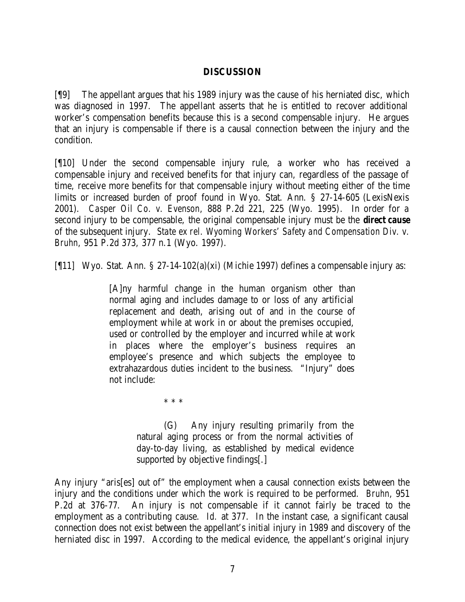# **DISCUSSION**

[¶9] The appellant argues that his 1989 injury was the cause of his herniated disc, which was diagnosed in 1997. The appellant asserts that he is entitled to recover additional worker's compensation benefits because this is a second compensable injury. He argues that an injury is compensable if there is a causal connection between the injury and the condition.

[¶10] Under the second compensable injury rule, a worker who has received a compensable injury and received benefits for that injury can, regardless of the passage of time, receive more benefits for that compensable injury without meeting either of the time limits or increased burden of proof found in Wyo. Stat. Ann. § 27-14-605 (LexisNexis 2001). *Casper Oil Co. v. Evenson*, 888 P.2d 221, 225 (Wyo. 1995). In order for a second injury to be compensable, the original compensable injury must be the *direct cause* of the subsequent injury. *State ex rel. Wyoming Workers' Safety and Compensation Div. v. Bruhn*, 951 P.2d 373, 377 n.1 (Wyo. 1997).

[¶11] Wyo. Stat. Ann. § 27-14-102(a)(xi) (Michie 1997) defines a compensable injury as:

[A]ny harmful change in the human organism other than normal aging and includes damage to or loss of any artificial replacement and death, arising out of and in the course of employment while at work in or about the premises occupied, used or controlled by the employer and incurred while at work in places where the employer's business requires an employee's presence and which subjects the employee to extrahazardous duties incident to the business. "Injury" does not include:

\* \* \*

(G) Any injury resulting primarily from the natural aging process or from the normal activities of day-to-day living, as established by medical evidence supported by objective findings[.]

Any injury "aris[es] out of" the employment when a causal connection exists between the injury and the conditions under which the work is required to be performed. *Bruhn*, 951 P.2d at 376-77. An injury is not compensable if it cannot fairly be traced to the employment as a contributing cause. *Id.* at 377. In the instant case, a significant causal connection does not exist between the appellant's initial injury in 1989 and discovery of the herniated disc in 1997. According to the medical evidence, the appellant's original injury